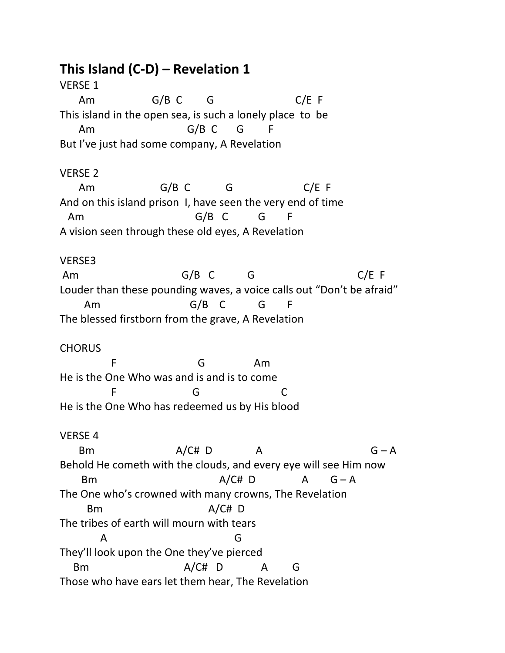# **This Island (C-D) – Revelation 1**

VERSE 1 Am G/B C G C/E F This island in the open sea, is such a lonely place to be Am G/B C G F But I've just had some company, A Revelation VERSE 2 Am G/B C G C/E F And on this island prison I, have seen the very end of time

Am G/B C G F A vision seen through these old eyes, A Revelation

## VERSE3

Am G/B C G C/E F Louder than these pounding waves, a voice calls out "Don't be afraid" Am G/B C G F The blessed firstborn from the grave, A Revelation

## **CHORUS**

F G Am He is the One Who was and is and is to come F G C He is the One Who has redeemed us by His blood

## VERSE 4

 Bm A/C# D A G – A Behold He cometh with the clouds, and every eye will see Him now Bm  $A/CH$  D  $A$   $G - A$ The One who's crowned with many crowns, The Revelation Bm A/C# D The tribes of earth will mourn with tears A G They'll look upon the One they've pierced Bm  $A/CH$  D A G Those who have ears let them hear, The Revelation